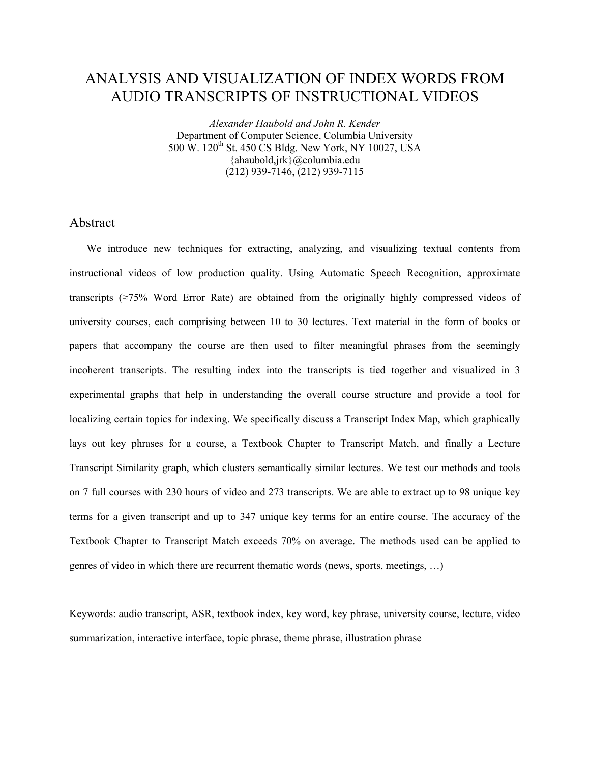# ANALYSIS AND VISUALIZATION OF INDEX WORDS FROM AUDIO TRANSCRIPTS OF INSTRUCTIONAL VIDEOS

*Alexander Haubold and John R. Kender*  Department of Computer Science, Columbia University 500 W. 120<sup>th</sup> St. 450 CS Bldg. New York, NY 10027, USA {ahaubold,jrk}@columbia.edu (212) 939-7146, (212) 939-7115

## Abstract

We introduce new techniques for extracting, analyzing, and visualizing textual contents from instructional videos of low production quality. Using Automatic Speech Recognition, approximate transcripts (≈75% Word Error Rate) are obtained from the originally highly compressed videos of university courses, each comprising between 10 to 30 lectures. Text material in the form of books or papers that accompany the course are then used to filter meaningful phrases from the seemingly incoherent transcripts. The resulting index into the transcripts is tied together and visualized in 3 experimental graphs that help in understanding the overall course structure and provide a tool for localizing certain topics for indexing. We specifically discuss a Transcript Index Map, which graphically lays out key phrases for a course, a Textbook Chapter to Transcript Match, and finally a Lecture Transcript Similarity graph, which clusters semantically similar lectures. We test our methods and tools on 7 full courses with 230 hours of video and 273 transcripts. We are able to extract up to 98 unique key terms for a given transcript and up to 347 unique key terms for an entire course. The accuracy of the Textbook Chapter to Transcript Match exceeds 70% on average. The methods used can be applied to genres of video in which there are recurrent thematic words (news, sports, meetings, …)

Keywords: audio transcript, ASR, textbook index, key word, key phrase, university course, lecture, video summarization, interactive interface, topic phrase, theme phrase, illustration phrase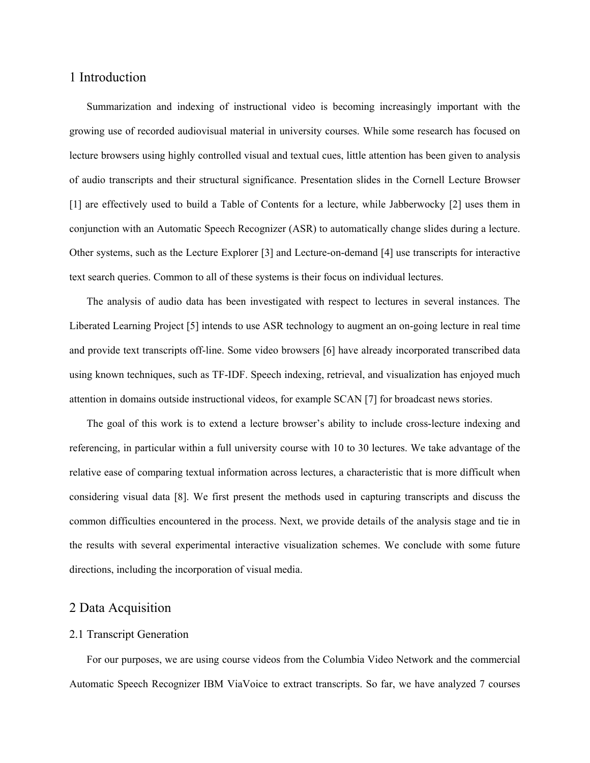### 1 Introduction

Summarization and indexing of instructional video is becoming increasingly important with the growing use of recorded audiovisual material in university courses. While some research has focused on lecture browsers using highly controlled visual and textual cues, little attention has been given to analysis of audio transcripts and their structural significance. Presentation slides in the Cornell Lecture Browser [1] are effectively used to build a Table of Contents for a lecture, while Jabberwocky [2] uses them in conjunction with an Automatic Speech Recognizer (ASR) to automatically change slides during a lecture. Other systems, such as the Lecture Explorer [3] and Lecture-on-demand [4] use transcripts for interactive text search queries. Common to all of these systems is their focus on individual lectures.

The analysis of audio data has been investigated with respect to lectures in several instances. The Liberated Learning Project [5] intends to use ASR technology to augment an on-going lecture in real time and provide text transcripts off-line. Some video browsers [6] have already incorporated transcribed data using known techniques, such as TF-IDF. Speech indexing, retrieval, and visualization has enjoyed much attention in domains outside instructional videos, for example SCAN [7] for broadcast news stories.

The goal of this work is to extend a lecture browser's ability to include cross-lecture indexing and referencing, in particular within a full university course with 10 to 30 lectures. We take advantage of the relative ease of comparing textual information across lectures, a characteristic that is more difficult when considering visual data [8]. We first present the methods used in capturing transcripts and discuss the common difficulties encountered in the process. Next, we provide details of the analysis stage and tie in the results with several experimental interactive visualization schemes. We conclude with some future directions, including the incorporation of visual media.

### 2 Data Acquisition

#### 2.1 Transcript Generation

For our purposes, we are using course videos from the Columbia Video Network and the commercial Automatic Speech Recognizer IBM ViaVoice to extract transcripts. So far, we have analyzed 7 courses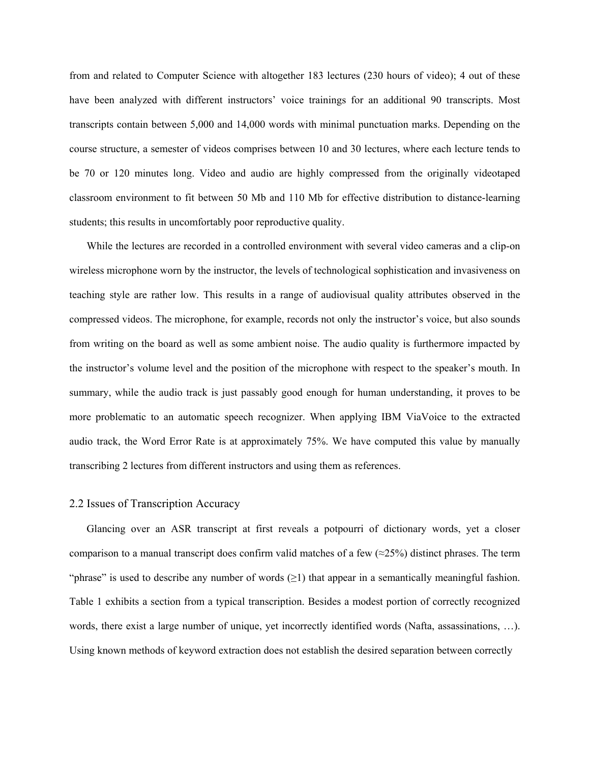from and related to Computer Science with altogether 183 lectures (230 hours of video); 4 out of these have been analyzed with different instructors' voice trainings for an additional 90 transcripts. Most transcripts contain between 5,000 and 14,000 words with minimal punctuation marks. Depending on the course structure, a semester of videos comprises between 10 and 30 lectures, where each lecture tends to be 70 or 120 minutes long. Video and audio are highly compressed from the originally videotaped classroom environment to fit between 50 Mb and 110 Mb for effective distribution to distance-learning students; this results in uncomfortably poor reproductive quality.

While the lectures are recorded in a controlled environment with several video cameras and a clip-on wireless microphone worn by the instructor, the levels of technological sophistication and invasiveness on teaching style are rather low. This results in a range of audiovisual quality attributes observed in the compressed videos. The microphone, for example, records not only the instructor's voice, but also sounds from writing on the board as well as some ambient noise. The audio quality is furthermore impacted by the instructor's volume level and the position of the microphone with respect to the speaker's mouth. In summary, while the audio track is just passably good enough for human understanding, it proves to be more problematic to an automatic speech recognizer. When applying IBM ViaVoice to the extracted audio track, the Word Error Rate is at approximately 75%. We have computed this value by manually transcribing 2 lectures from different instructors and using them as references.

#### 2.2 Issues of Transcription Accuracy

Glancing over an ASR transcript at first reveals a potpourri of dictionary words, yet a closer comparison to a manual transcript does confirm valid matches of a few  $(\approx 25\%)$  distinct phrases. The term "phrase" is used to describe any number of words  $(\geq 1)$  that appear in a semantically meaningful fashion. Table 1 exhibits a section from a typical transcription. Besides a modest portion of correctly recognized words, there exist a large number of unique, yet incorrectly identified words (Nafta, assassinations, ...). Using known methods of keyword extraction does not establish the desired separation between correctly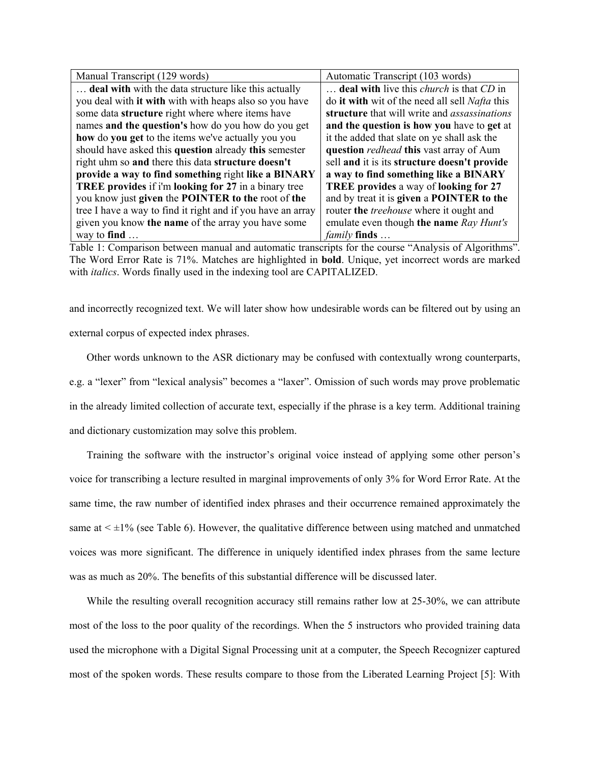| Manual Transcript (129 words)                               | Automatic Transcript (103 words)                      |
|-------------------------------------------------------------|-------------------------------------------------------|
| <b>deal with</b> with the data structure like this actually | deal with live this <i>church</i> is that CD in       |
| you deal with it with with with heaps also so you have      | do it with wit of the need all sell <i>Nafta</i> this |
| some data structure right where where items have            | structure that will write and <i>assassinations</i>   |
| names and the question's how do you how do you get          | and the question is how you have to get at            |
| how do you get to the items we've actually you you          | it the added that slate on ye shall ask the           |
| should have asked this question already this semester       | question <i>redhead</i> this vast array of Aum        |
| right uhm so and there this data structure doesn't          | sell and it is its structure doesn't provide          |
| provide a way to find something right like a BINARY         | a way to find something like a BINARY                 |
| TREE provides if i'm looking for 27 in a binary tree        | <b>TREE provides a way of looking for 27</b>          |
| you know just given the POINTER to the root of the          | and by treat it is given a POINTER to the             |
| tree I have a way to find it right and if you have an array | router the <i>treehouse</i> where it ought and        |
| given you know the name of the array you have some          | emulate even though the name Ray Hunt's               |
| way to find $\dots$                                         | <i>family</i> finds                                   |

Table 1: Comparison between manual and automatic transcripts for the course "Analysis of Algorithms". The Word Error Rate is 71%. Matches are highlighted in **bold**. Unique, yet incorrect words are marked with *italics*. Words finally used in the indexing tool are CAPITALIZED.

and incorrectly recognized text. We will later show how undesirable words can be filtered out by using an external corpus of expected index phrases.

Other words unknown to the ASR dictionary may be confused with contextually wrong counterparts, e.g. a "lexer" from "lexical analysis" becomes a "laxer". Omission of such words may prove problematic in the already limited collection of accurate text, especially if the phrase is a key term. Additional training and dictionary customization may solve this problem.

Training the software with the instructor's original voice instead of applying some other person's voice for transcribing a lecture resulted in marginal improvements of only 3% for Word Error Rate. At the same time, the raw number of identified index phrases and their occurrence remained approximately the same at  $\leq \pm 1\%$  (see Table 6). However, the qualitative difference between using matched and unmatched voices was more significant. The difference in uniquely identified index phrases from the same lecture was as much as 20%. The benefits of this substantial difference will be discussed later.

While the resulting overall recognition accuracy still remains rather low at 25-30%, we can attribute most of the loss to the poor quality of the recordings. When the 5 instructors who provided training data used the microphone with a Digital Signal Processing unit at a computer, the Speech Recognizer captured most of the spoken words. These results compare to those from the Liberated Learning Project [5]: With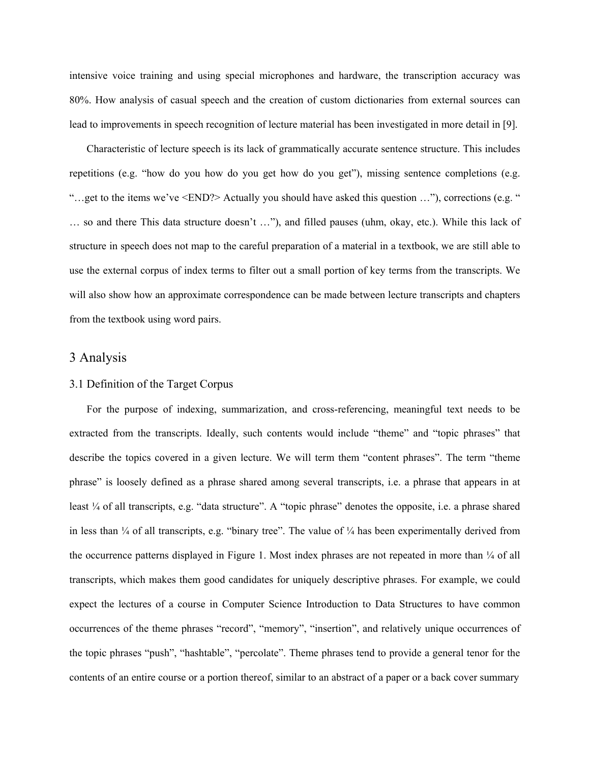intensive voice training and using special microphones and hardware, the transcription accuracy was 80%. How analysis of casual speech and the creation of custom dictionaries from external sources can lead to improvements in speech recognition of lecture material has been investigated in more detail in [9].

Characteristic of lecture speech is its lack of grammatically accurate sentence structure. This includes repetitions (e.g. "how do you how do you get how do you get"), missing sentence completions (e.g. "…get to the items we've <END?> Actually you should have asked this question …"), corrections (e.g. " … so and there This data structure doesn't …"), and filled pauses (uhm, okay, etc.). While this lack of structure in speech does not map to the careful preparation of a material in a textbook, we are still able to use the external corpus of index terms to filter out a small portion of key terms from the transcripts. We will also show how an approximate correspondence can be made between lecture transcripts and chapters from the textbook using word pairs.

## 3 Analysis

### 3.1 Definition of the Target Corpus

For the purpose of indexing, summarization, and cross-referencing, meaningful text needs to be extracted from the transcripts. Ideally, such contents would include "theme" and "topic phrases" that describe the topics covered in a given lecture. We will term them "content phrases". The term "theme phrase" is loosely defined as a phrase shared among several transcripts, i.e. a phrase that appears in at least ¼ of all transcripts, e.g. "data structure". A "topic phrase" denotes the opposite, i.e. a phrase shared in less than  $\frac{1}{4}$  of all transcripts, e.g. "binary tree". The value of  $\frac{1}{4}$  has been experimentally derived from the occurrence patterns displayed in Figure 1. Most index phrases are not repeated in more than  $\frac{1}{4}$  of all transcripts, which makes them good candidates for uniquely descriptive phrases. For example, we could expect the lectures of a course in Computer Science Introduction to Data Structures to have common occurrences of the theme phrases "record", "memory", "insertion", and relatively unique occurrences of the topic phrases "push", "hashtable", "percolate". Theme phrases tend to provide a general tenor for the contents of an entire course or a portion thereof, similar to an abstract of a paper or a back cover summary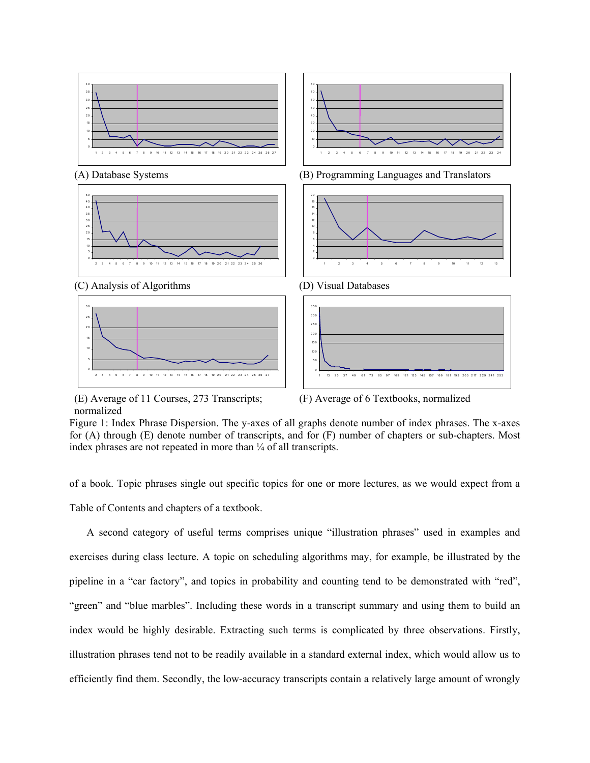

(E) Average of 11 Courses, 273 Transcripts; normalized

(F) Average of 6 Textbooks, normalized

Figure 1: Index Phrase Dispersion. The y-axes of all graphs denote number of index phrases. The x-axes for (A) through (E) denote number of transcripts, and for (F) number of chapters or sub-chapters. Most index phrases are not repeated in more than  $\frac{1}{4}$  of all transcripts.

of a book. Topic phrases single out specific topics for one or more lectures, as we would expect from a Table of Contents and chapters of a textbook.

A second category of useful terms comprises unique "illustration phrases" used in examples and exercises during class lecture. A topic on scheduling algorithms may, for example, be illustrated by the pipeline in a "car factory", and topics in probability and counting tend to be demonstrated with "red", "green" and "blue marbles". Including these words in a transcript summary and using them to build an index would be highly desirable. Extracting such terms is complicated by three observations. Firstly, illustration phrases tend not to be readily available in a standard external index, which would allow us to efficiently find them. Secondly, the low-accuracy transcripts contain a relatively large amount of wrongly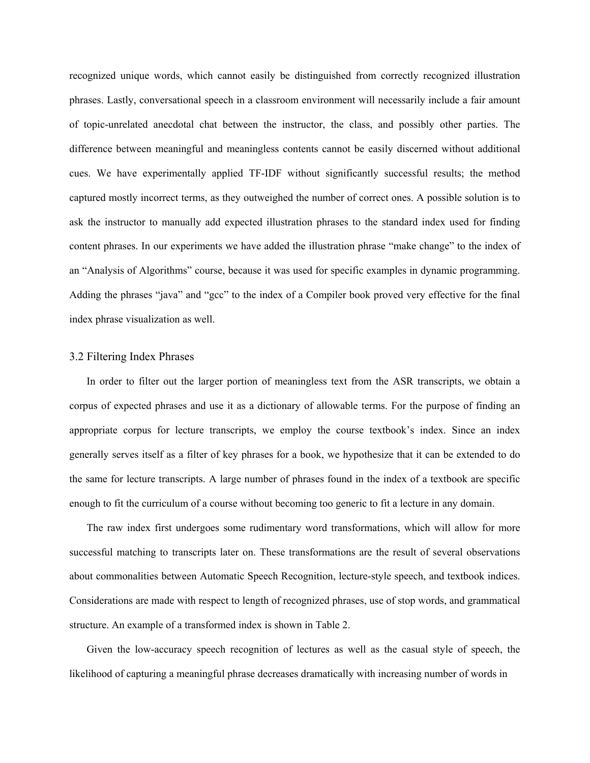recognized unique words, which cannot easily be distinguished from correctly recognized illustration phrases. Lastly, conversational speech in a classroom environment will necessarily include a fair amount of topic-unrelated anecdotal chat between the instructor, the class, and possibly other parties. The difference between meaningful and meaningless contents cannot be easily discerned without additional cues. We have experimentally applied TF-IDF without significantly successful results; the method captured mostly incorrect terms, as they outweighed the number of correct ones. A possible solution is to ask the instructor to manually add expected illustration phrases to the standard index used for finding content phrases. In our experiments we have added the illustration phrase "make change" to the index of an "Analysis of Algorithms" course, because it was used for specific examples in dynamic programming. Adding the phrases "java" and "gcc" to the index of a Compiler book proved very effective for the final index phrase visualization as well.

#### 3.2 Filtering Index Phrases

In order to filter out the larger portion of meaningless text from the ASR transcripts, we obtain a corpus of expected phrases and use it as a dictionary of allowable terms. For the purpose of finding an appropriate corpus for lecture transcripts, we employ the course textbook's index. Since an index generally serves itself as a filter of key phrases for a book, we hypothesize that it can be extended to do the same for lecture transcripts. A large number of phrases found in the index of a textbook are specific enough to fit the curriculum of a course without becoming too generic to fit a lecture in any domain.

The raw index first undergoes some rudimentary word transformations, which will allow for more successful matching to transcripts later on. These transformations are the result of several observations about commonalities between Automatic Speech Recognition, lecture-style speech, and textbook indices. Considerations are made with respect to length of recognized phrases, use of stop words, and grammatical structure. An example of a transformed index is shown in Table 2.

Given the low-accuracy speech recognition of lectures as well as the casual style of speech, the likelihood of capturing a meaningful phrase decreases dramatically with increasing number of words in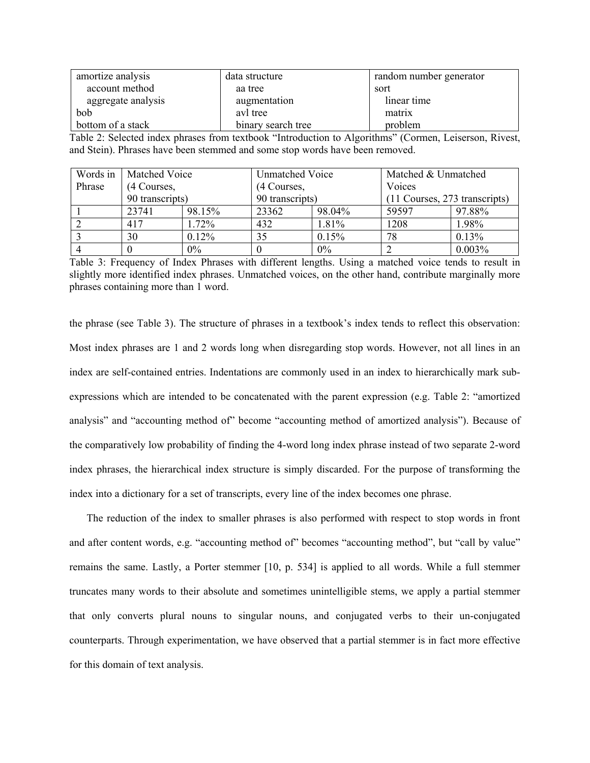| amortize analysis  | data structure     | random number generator |
|--------------------|--------------------|-------------------------|
| account method     | aa tree            | sort                    |
| aggregate analysis | augmentation       | linear time             |
| bob                | avl tree           | matrix                  |
| bottom of a stack  | binary search tree | problem                 |

Table 2: Selected index phrases from textbook "Introduction to Algorithms" (Cormen, Leiserson, Rivest, and Stein). Phrases have been stemmed and some stop words have been removed.

| Words in | <b>Matched Voice</b> |        | <b>Unmatched Voice</b> |        | Matched & Unmatched           |        |  |
|----------|----------------------|--------|------------------------|--------|-------------------------------|--------|--|
| Phrase   | (4 Courses,          |        | (4 Courses,            |        | Voices                        |        |  |
|          | 90 transcripts)      |        | 90 transcripts)        |        | (11 Courses, 273 transcripts) |        |  |
|          | 23741                | 98.15% | 23362                  | 98.04% | 59597                         | 97.88% |  |
|          | 417                  | 1.72%  | 432                    | 1.81%  | 1208                          | 1.98%  |  |
|          | 30                   | 0.12%  | 35                     | 0.15%  | 78                            | 0.13%  |  |
| 4        |                      | $0\%$  |                        | 0%     |                               | 0.003% |  |

Table 3: Frequency of Index Phrases with different lengths. Using a matched voice tends to result in slightly more identified index phrases. Unmatched voices, on the other hand, contribute marginally more phrases containing more than 1 word.

the phrase (see Table 3). The structure of phrases in a textbook's index tends to reflect this observation: Most index phrases are 1 and 2 words long when disregarding stop words. However, not all lines in an index are self-contained entries. Indentations are commonly used in an index to hierarchically mark subexpressions which are intended to be concatenated with the parent expression (e.g. Table 2: "amortized analysis" and "accounting method of" become "accounting method of amortized analysis"). Because of the comparatively low probability of finding the 4-word long index phrase instead of two separate 2-word index phrases, the hierarchical index structure is simply discarded. For the purpose of transforming the index into a dictionary for a set of transcripts, every line of the index becomes one phrase.

The reduction of the index to smaller phrases is also performed with respect to stop words in front and after content words, e.g. "accounting method of" becomes "accounting method", but "call by value" remains the same. Lastly, a Porter stemmer [10, p. 534] is applied to all words. While a full stemmer truncates many words to their absolute and sometimes unintelligible stems, we apply a partial stemmer that only converts plural nouns to singular nouns, and conjugated verbs to their un-conjugated counterparts. Through experimentation, we have observed that a partial stemmer is in fact more effective for this domain of text analysis.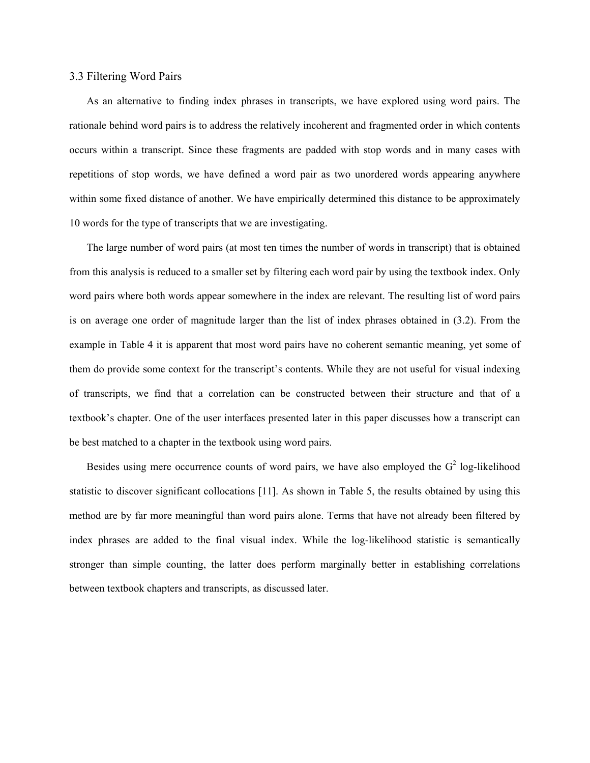#### 3.3 Filtering Word Pairs

As an alternative to finding index phrases in transcripts, we have explored using word pairs. The rationale behind word pairs is to address the relatively incoherent and fragmented order in which contents occurs within a transcript. Since these fragments are padded with stop words and in many cases with repetitions of stop words, we have defined a word pair as two unordered words appearing anywhere within some fixed distance of another. We have empirically determined this distance to be approximately 10 words for the type of transcripts that we are investigating.

The large number of word pairs (at most ten times the number of words in transcript) that is obtained from this analysis is reduced to a smaller set by filtering each word pair by using the textbook index. Only word pairs where both words appear somewhere in the index are relevant. The resulting list of word pairs is on average one order of magnitude larger than the list of index phrases obtained in (3.2). From the example in Table 4 it is apparent that most word pairs have no coherent semantic meaning, yet some of them do provide some context for the transcript's contents. While they are not useful for visual indexing of transcripts, we find that a correlation can be constructed between their structure and that of a textbook's chapter. One of the user interfaces presented later in this paper discusses how a transcript can be best matched to a chapter in the textbook using word pairs.

Besides using mere occurrence counts of word pairs, we have also employed the  $G<sup>2</sup>$  log-likelihood statistic to discover significant collocations [11]. As shown in Table 5, the results obtained by using this method are by far more meaningful than word pairs alone. Terms that have not already been filtered by index phrases are added to the final visual index. While the log-likelihood statistic is semantically stronger than simple counting, the latter does perform marginally better in establishing correlations between textbook chapters and transcripts, as discussed later.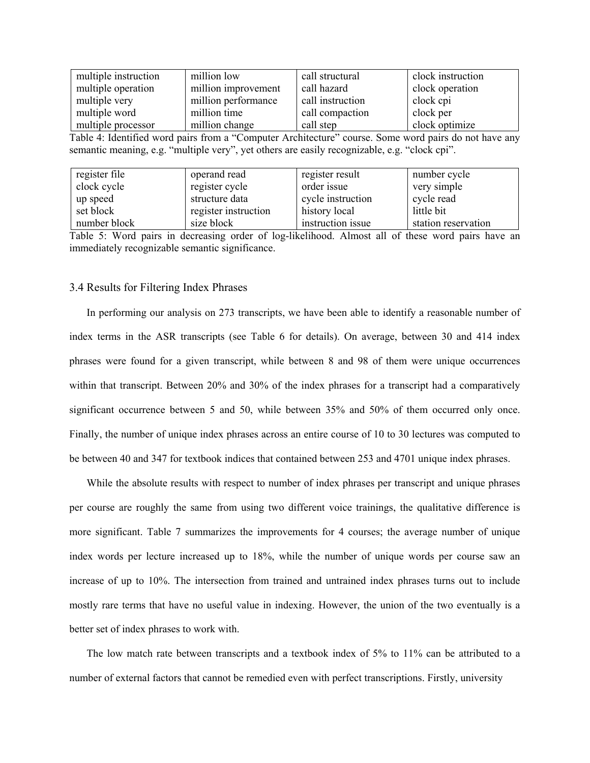| multiple instruction | million low         | call structural  | clock instruction |
|----------------------|---------------------|------------------|-------------------|
| multiple operation   | million improvement | call hazard      | clock operation   |
| multiple very        | million performance | call instruction | clock cpi         |
| multiple word        | million time        | call compaction  | clock per         |
| multiple processor   | million change      | call step        | clock optimize    |

Table 4: Identified word pairs from a "Computer Architecture" course. Some word pairs do not have any semantic meaning, e.g. "multiple very", yet others are easily recognizable, e.g. "clock cpi".

| register file | operand read         | register result   | number cycle        |
|---------------|----------------------|-------------------|---------------------|
| clock cycle   | register cycle       | order issue       | very simple         |
| up speed      | structure data       | cycle instruction | cycle read          |
| set block     | register instruction | history local     | little bit          |
| number block  | size block           | instruction issue | station reservation |

Table 5: Word pairs in decreasing order of log-likelihood. Almost all of these word pairs have an immediately recognizable semantic significance.

#### 3.4 Results for Filtering Index Phrases

In performing our analysis on 273 transcripts, we have been able to identify a reasonable number of index terms in the ASR transcripts (see Table 6 for details). On average, between 30 and 414 index phrases were found for a given transcript, while between 8 and 98 of them were unique occurrences within that transcript. Between 20% and 30% of the index phrases for a transcript had a comparatively significant occurrence between 5 and 50, while between 35% and 50% of them occurred only once. Finally, the number of unique index phrases across an entire course of 10 to 30 lectures was computed to be between 40 and 347 for textbook indices that contained between 253 and 4701 unique index phrases.

While the absolute results with respect to number of index phrases per transcript and unique phrases per course are roughly the same from using two different voice trainings, the qualitative difference is more significant. Table 7 summarizes the improvements for 4 courses; the average number of unique index words per lecture increased up to 18%, while the number of unique words per course saw an increase of up to 10%. The intersection from trained and untrained index phrases turns out to include mostly rare terms that have no useful value in indexing. However, the union of the two eventually is a better set of index phrases to work with.

The low match rate between transcripts and a textbook index of 5% to 11% can be attributed to a number of external factors that cannot be remedied even with perfect transcriptions. Firstly, university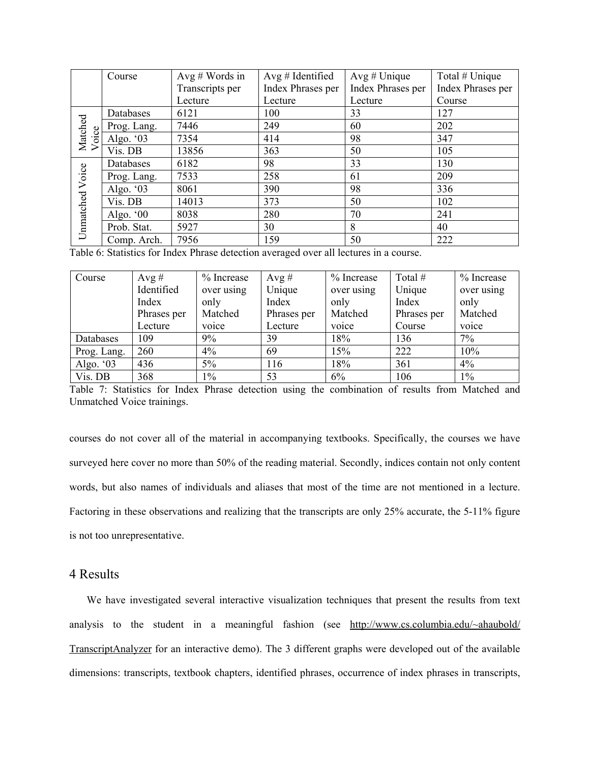|                  | Course             | Avg # Words in  | Avg # Identified         | $Avg \# Unique$   | Total # Unique    |
|------------------|--------------------|-----------------|--------------------------|-------------------|-------------------|
|                  |                    | Transcripts per | <b>Index Phrases per</b> | Index Phrases per | Index Phrases per |
|                  |                    | Lecture         | Lecture                  | Lecture           | Course            |
|                  | Databases          | 6121            | 100                      | 33                | 127               |
| Matched<br>Voice | Prog. Lang.        | 7446            | 249                      | 60                | 202               |
|                  | oice<br>Algo. $03$ | 7354            | 414                      | 98                | 347               |
|                  | Vis. DB            | 13856           | 363                      | 50                | 105               |
|                  | Databases          | 6182            | 98                       | 33                | 130               |
|                  | Prog. Lang.        | 7533            | 258                      | 61                | 209               |
|                  | Algo. $03$         | 8061            | 390                      | 98                | 336               |
|                  | Vis. DB            | 14013           | 373                      | 50                | 102               |
|                  | Algo. $00$         | 8038            | 280                      | 70                | 241               |
| Unmatched Voice  | Prob. Stat.        | 5927            | 30                       | 8                 | 40                |
|                  | Comp. Arch.        | 7956            | 159                      | 50                | 222               |

Table 6: Statistics for Index Phrase detection averaged over all lectures in a course.

| Course      | Avg #       | % Increase | Avg #       | % Increase | Total #     | $%$ Increase |
|-------------|-------------|------------|-------------|------------|-------------|--------------|
|             | Identified  | over using | Unique      | over using | Unique      | over using   |
|             | Index       | only       | Index       | only       | Index       | only         |
|             | Phrases per | Matched    | Phrases per | Matched    | Phrases per | Matched      |
|             | Lecture     | voice      | Lecture     | voice      | Course      | voice        |
| Databases   | 109         | 9%         | 39          | 18%        | 136         | 7%           |
| Prog. Lang. | 260         | 4%         | 69          | 15%        | 222         | 10%          |
| Algo. $03$  | 436         | $5\%$      | 116         | 18%        | 361         | 4%           |
| Vis. DB     | 368         | $1\%$      | 53          | 6%         | 106         | $1\%$        |

Table 7: Statistics for Index Phrase detection using the combination of results from Matched and Unmatched Voice trainings.

courses do not cover all of the material in accompanying textbooks. Specifically, the courses we have surveyed here cover no more than 50% of the reading material. Secondly, indices contain not only content words, but also names of individuals and aliases that most of the time are not mentioned in a lecture. Factoring in these observations and realizing that the transcripts are only 25% accurate, the 5-11% figure is not too unrepresentative.

### 4 Results

We have investigated several interactive visualization techniques that present the results from text analysis to the student in a meaningful fashion (see http://www.cs.columbia.edu/~ahaubold/ TranscriptAnalyzer for an interactive demo). The 3 different graphs were developed out of the available dimensions: transcripts, textbook chapters, identified phrases, occurrence of index phrases in transcripts,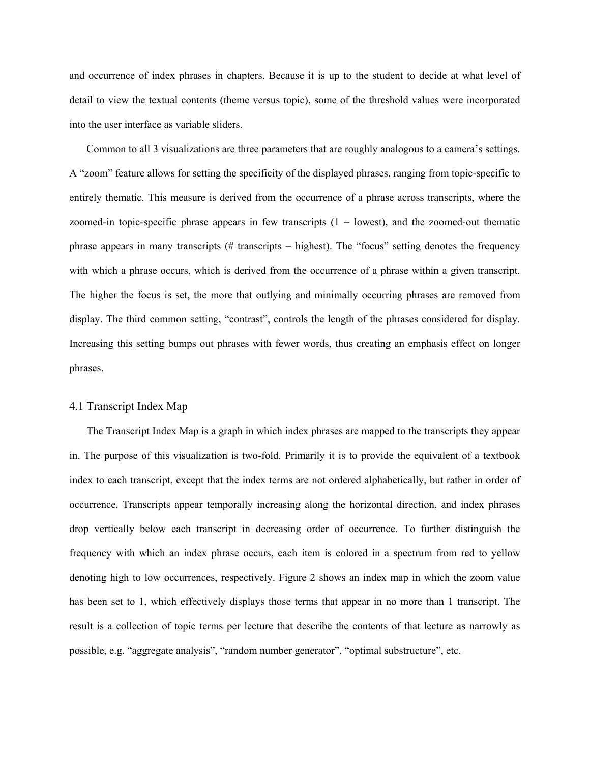and occurrence of index phrases in chapters. Because it is up to the student to decide at what level of detail to view the textual contents (theme versus topic), some of the threshold values were incorporated into the user interface as variable sliders.

Common to all 3 visualizations are three parameters that are roughly analogous to a camera's settings. A "zoom" feature allows for setting the specificity of the displayed phrases, ranging from topic-specific to entirely thematic. This measure is derived from the occurrence of a phrase across transcripts, where the zoomed-in topic-specific phrase appears in few transcripts  $(1 =$  lowest), and the zoomed-out thematic phrase appears in many transcripts  $#$  transcripts  $=$  highest). The "focus" setting denotes the frequency with which a phrase occurs, which is derived from the occurrence of a phrase within a given transcript. The higher the focus is set, the more that outlying and minimally occurring phrases are removed from display. The third common setting, "contrast", controls the length of the phrases considered for display. Increasing this setting bumps out phrases with fewer words, thus creating an emphasis effect on longer phrases.

#### 4.1 Transcript Index Map

The Transcript Index Map is a graph in which index phrases are mapped to the transcripts they appear in. The purpose of this visualization is two-fold. Primarily it is to provide the equivalent of a textbook index to each transcript, except that the index terms are not ordered alphabetically, but rather in order of occurrence. Transcripts appear temporally increasing along the horizontal direction, and index phrases drop vertically below each transcript in decreasing order of occurrence. To further distinguish the frequency with which an index phrase occurs, each item is colored in a spectrum from red to yellow denoting high to low occurrences, respectively. Figure 2 shows an index map in which the zoom value has been set to 1, which effectively displays those terms that appear in no more than 1 transcript. The result is a collection of topic terms per lecture that describe the contents of that lecture as narrowly as possible, e.g. "aggregate analysis", "random number generator", "optimal substructure", etc.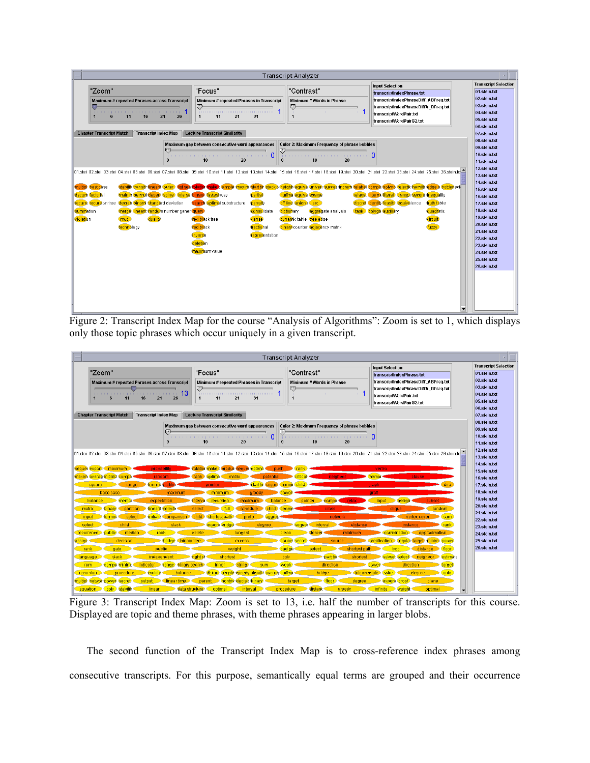|                                                                                                                                                                                                                                                                                                                                                                                                                                                                                                                                                                                |                                                                                                                                                                                                                                                                                                            | <b>Transcript Analyzer</b>                                                                                                                                                                                                                                                                                                                                                                                             |                                                                                                                                                                                           |                                                                                                                                                                                                                                                                                                                                                          |
|--------------------------------------------------------------------------------------------------------------------------------------------------------------------------------------------------------------------------------------------------------------------------------------------------------------------------------------------------------------------------------------------------------------------------------------------------------------------------------------------------------------------------------------------------------------------------------|------------------------------------------------------------------------------------------------------------------------------------------------------------------------------------------------------------------------------------------------------------------------------------------------------------|------------------------------------------------------------------------------------------------------------------------------------------------------------------------------------------------------------------------------------------------------------------------------------------------------------------------------------------------------------------------------------------------------------------------|-------------------------------------------------------------------------------------------------------------------------------------------------------------------------------------------|----------------------------------------------------------------------------------------------------------------------------------------------------------------------------------------------------------------------------------------------------------------------------------------------------------------------------------------------------------|
| "Zoom"<br>Maximum # repeated Phrases across Transcript<br>in many many property and provide<br>21<br>26<br>11<br>16<br>6<br>1                                                                                                                                                                                                                                                                                                                                                                                                                                                  | "Focus"<br>Minimum # repeated Phrases in Transcript<br>四<br>21<br>11<br>31<br>$\mathbf 1$                                                                                                                                                                                                                  | "Contrast"<br>Minimum # Words in Phrase<br>☞<br>1                                                                                                                                                                                                                                                                                                                                                                      | <b>Input Selection</b><br>transcriptindexPhrase.txt<br>transcriptIndexPhraseDiff ABFreq.txt<br>transcriptIndexPhraseDiffA BFreq.txt<br>transcriptWordPair.txt<br>transcriptWordPairG2.txt | <b>Transcript Selection</b><br>01.stein.txt<br>02.stein.txt<br>$ 03$ .stein.txt<br>04.stein.txt<br>05.stein.txt<br>06.stein.txt                                                                                                                                                                                                                          |
| <b>Chapter Transcript Match</b><br><b>Transcript Index Map</b><br>$\bf{0}$<br>101.stei 02.stei 03.stei 04.stei 05.stei 06.stei 07.stei 08.stei 10.stei 10.stei 11.stei 12.stei 13.stei 14.stei 15.stei 16.stei 17.stei 18.stei 19.stei 20.stei 23.stei 24.stei 26.stei 26.stei 26.stei 26.stei 26.stei 26.s<br>multipl best case<br>main it permut depen spine interse binary fastest way<br>decom factorial<br>recurre recursion tree decren binomi standard deviation<br>summation<br>merge linearit random number gener query.<br>violation<br>duality<br>mod<br>technology | <b>Lecture Transcript Similarity</b><br>Maximum gap between consecutive word appearances<br>$\Omega$<br>10<br>20<br>partial<br>search optimal substructure<br><b>penalt</b><br>consolidate<br>red black tree<br>dense<br>red black<br>fractional<br>inverse<br>representation<br>deletion<br>maximum value | Color 2: Maximum Frequency of phrase bubbles<br>ల<br>10<br>20<br>$\theta$<br>stabilih transith linearit outer) list sea totalich traket simple maxim start tir stack o neighb equiva univer succes increm telabel comple polyno rejectic hamilit edge's bottleneck<br>huffma equiva sparse<br>off line union to arc.<br>dictionary<br>aggregate analysis<br>dynamic table tree edge<br>binary counter adjacency matrix | relaxat interm literal transposecont inequality<br>discret identify feasibl equivalence<br>truth table<br>task polygo auxiliary<br>quadratic<br>circuit<br>fuzzy                          | 07.stein.txt<br>08.stein.txt<br>09.stein.txt<br>10.stein.txt<br>11.stein.txt<br>12.stein.txt<br>13.stein.txt<br>14.stein.txt<br>15.stein.txt<br>16.stein.txt<br>17.stein.txt<br>18.stein.txt<br>19.stein.txt<br>20.stein.txt<br>21.stein.txt<br>22.stein.txt<br>23.stein.txt<br>24.stein.txt<br>25.stein.txt<br>26.stein.txt<br>$\overline{\phantom{a}}$ |

Figure 2: Transcript Index Map for the course "Analysis of Algorithms": Zoom is set to 1, which displays only those topic phrases which occur uniquely in a given transcript.



Figure 3: Transcript Index Map: Zoom is set to 13, i.e. half the number of transcripts for this course. Displayed are topic and theme phrases, with theme phrases appearing in larger blobs.

The second function of the Transcript Index Map is to cross-reference index phrases among consecutive transcripts. For this purpose, semantically equal terms are grouped and their occurrence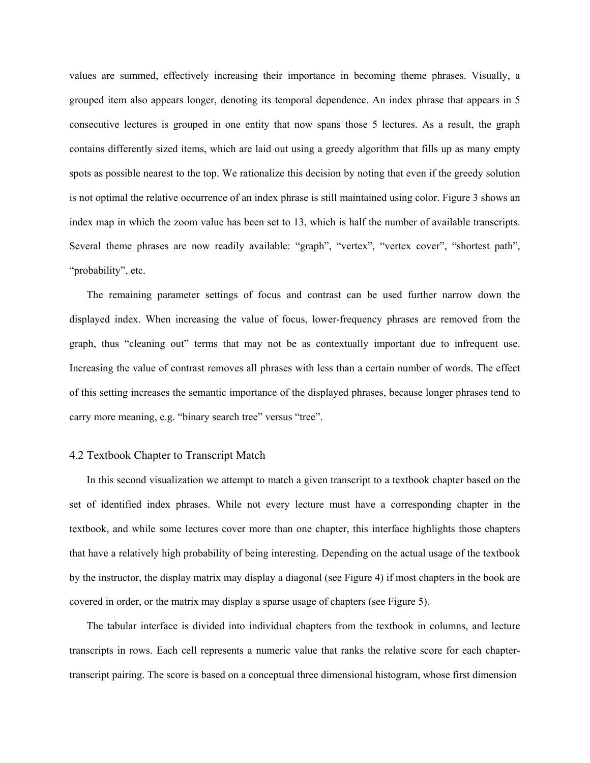values are summed, effectively increasing their importance in becoming theme phrases. Visually, a grouped item also appears longer, denoting its temporal dependence. An index phrase that appears in 5 consecutive lectures is grouped in one entity that now spans those 5 lectures. As a result, the graph contains differently sized items, which are laid out using a greedy algorithm that fills up as many empty spots as possible nearest to the top. We rationalize this decision by noting that even if the greedy solution is not optimal the relative occurrence of an index phrase is still maintained using color. Figure 3 shows an index map in which the zoom value has been set to 13, which is half the number of available transcripts. Several theme phrases are now readily available: "graph", "vertex", "vertex cover", "shortest path", "probability", etc.

The remaining parameter settings of focus and contrast can be used further narrow down the displayed index. When increasing the value of focus, lower-frequency phrases are removed from the graph, thus "cleaning out" terms that may not be as contextually important due to infrequent use. Increasing the value of contrast removes all phrases with less than a certain number of words. The effect of this setting increases the semantic importance of the displayed phrases, because longer phrases tend to carry more meaning, e.g. "binary search tree" versus "tree".

#### 4.2 Textbook Chapter to Transcript Match

In this second visualization we attempt to match a given transcript to a textbook chapter based on the set of identified index phrases. While not every lecture must have a corresponding chapter in the textbook, and while some lectures cover more than one chapter, this interface highlights those chapters that have a relatively high probability of being interesting. Depending on the actual usage of the textbook by the instructor, the display matrix may display a diagonal (see Figure 4) if most chapters in the book are covered in order, or the matrix may display a sparse usage of chapters (see Figure 5).

The tabular interface is divided into individual chapters from the textbook in columns, and lecture transcripts in rows. Each cell represents a numeric value that ranks the relative score for each chaptertranscript pairing. The score is based on a conceptual three dimensional histogram, whose first dimension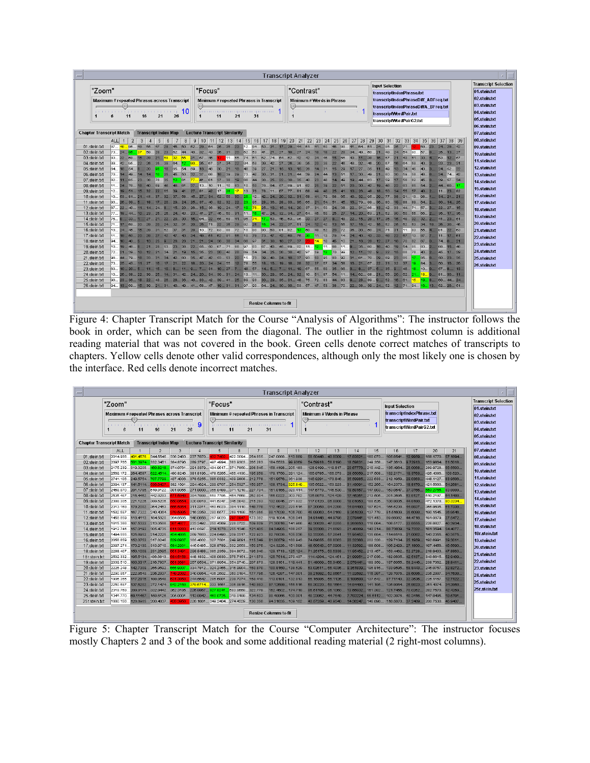|                                                                                                                                                                                                                                                                                                                                                                                                                                                                                                                                                                                                             |                                                                                                                                                                                                                                                                                                                                                                                                                                                                                                                                                                                                                                                                                                                                                                                                                                                                                                                                                                                                                                                                                                                                                                                                                                                                                                                                                                                                                                                                                                                                                                                                                                                                                                                                                                                                                                                                                                                                                                                                                                                                                                                                                                                                                                                                                                                                                                                                                                                                                                                                                                                                                                                                                                                                                                                                                                                                                                                                                                                                                                                                                                                                                                                                                                 | <b>Transcript Analyzer</b>                                                                                                                                       |                                                                                                                                                                                                                                                                                                                                                                                               |                                                                                                                                                                                                                                                                                                              |
|-------------------------------------------------------------------------------------------------------------------------------------------------------------------------------------------------------------------------------------------------------------------------------------------------------------------------------------------------------------------------------------------------------------------------------------------------------------------------------------------------------------------------------------------------------------------------------------------------------------|---------------------------------------------------------------------------------------------------------------------------------------------------------------------------------------------------------------------------------------------------------------------------------------------------------------------------------------------------------------------------------------------------------------------------------------------------------------------------------------------------------------------------------------------------------------------------------------------------------------------------------------------------------------------------------------------------------------------------------------------------------------------------------------------------------------------------------------------------------------------------------------------------------------------------------------------------------------------------------------------------------------------------------------------------------------------------------------------------------------------------------------------------------------------------------------------------------------------------------------------------------------------------------------------------------------------------------------------------------------------------------------------------------------------------------------------------------------------------------------------------------------------------------------------------------------------------------------------------------------------------------------------------------------------------------------------------------------------------------------------------------------------------------------------------------------------------------------------------------------------------------------------------------------------------------------------------------------------------------------------------------------------------------------------------------------------------------------------------------------------------------------------------------------------------------------------------------------------------------------------------------------------------------------------------------------------------------------------------------------------------------------------------------------------------------------------------------------------------------------------------------------------------------------------------------------------------------------------------------------------------------------------------------------------------------------------------------------------------------------------------------------------------------------------------------------------------------------------------------------------------------------------------------------------------------------------------------------------------------------------------------------------------------------------------------------------------------------------------------------------------------------------------------------------------------------------------------------------------------|------------------------------------------------------------------------------------------------------------------------------------------------------------------|-----------------------------------------------------------------------------------------------------------------------------------------------------------------------------------------------------------------------------------------------------------------------------------------------------------------------------------------------------------------------------------------------|--------------------------------------------------------------------------------------------------------------------------------------------------------------------------------------------------------------------------------------------------------------------------------------------------------------|
| "Zoom"<br>Maximum # repeated Phrases across Transcript<br>-10<br>11<br>16<br>21<br>26<br><b>Chapter Transcript Match</b><br><b>Transcript Index Map</b>                                                                                                                                                                                                                                                                                                                                                                                                                                                     | "Focus"<br>Minimum # repeated Phrases in Transcript<br>図<br>21<br>31<br>$\mathbf{1}$<br>11<br><b>Lecture Transcript Similarity</b>                                                                                                                                                                                                                                                                                                                                                                                                                                                                                                                                                                                                                                                                                                                                                                                                                                                                                                                                                                                                                                                                                                                                                                                                                                                                                                                                                                                                                                                                                                                                                                                                                                                                                                                                                                                                                                                                                                                                                                                                                                                                                                                                                                                                                                                                                                                                                                                                                                                                                                                                                                                                                                                                                                                                                                                                                                                                                                                                                                                                                                                                                              | "Contrast"<br>Minimum # Words in Phrase<br>四                                                                                                                     | <b>Input Selection</b><br>transcriptIndexPhrase.txt<br>transcriptIndexPhraseDiff ABFreq.txt<br>transcriptindexPhraseDiffA BFreq.txt<br>transcriptWordPair.txt<br>transcriptWordPairG2.txt                                                                                                                                                                                                     | <b>Transcript Selection</b><br>$01$ .stein.txt<br>02.stein.txt<br>03.stein.txt<br>04.stein.txt<br>05.stein.txt<br>06.stein.txt<br>$ 07$ .stein.txt                                                                                                                                                           |
| $\overline{2}$<br>3<br>5<br>8 <sup>1</sup><br><b>ALL</b><br>6<br>1<br>$\frac{4}{3}$<br>-7<br>01.stein.txt<br>02.stein.btt<br>03.stein.txt<br>83. 32. 68. 15. 29. 21. 59. 32. 55. 31. 57. 46.<br>04.stein.txt<br>05.stein.btt<br>06.stein.txt<br>07.stein.txt<br>08.stein.btt<br>09.stein.txt<br>10.stein.btt<br>11.stein.brt<br>12.stein.txt<br>13.stein.btt<br>14. stein.brt<br>15.stein.btt<br>16.stein.btt<br>17.stein.txt<br>18.stein.btt<br>19.stein.btt<br>20.stein.txt<br>21.stein.btt<br>22.stein.txt<br>23.stein.txt<br>63 10 20 5 11 15 10 8 11 9<br>24.stein.btt<br>25 stein.txt<br>26.stein.txt | 9 10 11 12 13 14 15 16 17 18 19 20 21 22 23 24 25 26 27 28 29 30 31 32 33 34 35 36<br>87 48 96 49 55 47 29 45 50 52 29 64 35 35 23 12 84 83 31 17 29 44 61 61 84 84 84 84 85 71 1<br>73 <mark>24 95 37</mark> 59 28 23 62 44 40 32 43 26 31 20 52 53 41 27 27 27 27 24 18 23 34 49 <mark>95 37 49 24 54 95 37 8</mark><br>89 42 95 22 26 35 39 64 <mark>12 80</mark> 35 67 37 34 22 84 58 59 42 27 26 38 36 38 48 48 34 20 87 10 64 58 40 3 23 23 31<br>64 18 54 8 20 <mark>96</mark> 18 65 54 59 18 48 30 21 18 48 39 27 21 15 15 26 14 31 15 27 27 35 11 49 13 34 45 40 3<br>70 14… 49… 14… 14… 10… 25… 45… 50… 32… 37… 66… 18… 39… 29… 73… 42… 30… 31… 21… 21… 44… 39… 24… 44… 13… 51… 17… 30… 49… 21… 60… 50… 59… 59… 59… 59… 59… 5<br>82 11 65 23 36 76 35 <mark>12 61 77 41 61 37 38 19 66 44 38 24 38 23 36 49 45 49 14 49 14 49 19 49 19 49 19 44 63 17 </mark><br>11… 24… 78… 18… 40… 69… 46… 46… 61… 37… 13… 10… 11… 10… 63… 10… 50… 76… 64… 57… 89… 91… 62… 25… 39… 22… 51… 20… 30… 30… 42… 19… 48… 22… 63… 65… 54… 2…<br>12 19 51 15 32 22 65 39 41 27 81 42 17 28 17 13 76 76 11 67 77 81 68 49 49 25 41 10 25 44 10 25 14 50 14 55 57 4<br>10 53 81 21 41 37 32 37 58 45 27 34 52 56 30 26 12 24 24 20 31 58 44 79 68 65 45 95 92 95 29 77 38 91 13 98 1<br>93 26 39 5 18 17 20 29 24 25 37 40 32 32 22 23 25 36 38 35 65 64 51 54 15 19 95 89 89 89 89 89 89 89 89 89 89<br>67 22 40 11 14 24 8 15 20 26 15 36 19 24 17 10 76 25 10 15 14 31 51 53 24 38 24 33 44 24 37 9 22 27 15 22 15.<br>77 18 44 10 23 25 26 24 43 23 41 27 45 50 31 11 16 27 24 32 34 27 64 45 50 25 27 14 20 83 21 52 30 50 60 66 85 1<br>76… 8…. 33… 1…. 27… 21… 22… 28… 30… 15… 84… 32… 55… 69… 41… 85… <mark>74… 17… 5</mark> 3… 46… 63… 85… 33… 27… 27… 9….<br>71 17 68 30 29 20 24 32 31 20 26 71 32 36 29 32 26 28 26 34 22 37 51 24 42 43 43 15 16 42 15 52 53 52 53 54 18 2<br>10 24 45 15 29 31 52 37 31 28 10 72 83 88 72 10 90 80 80 81 82 <mark>13.</mark><br>11 19 50 20 23 27 42 42 43 34 49 51 51 62 81 56 10 79 47 40 75 75 11 13 14 24 43 33 48 22 67 13 87 7 11 17 61<br>94 10 40 5 13 25 9 26 28 21 21 24 38 38 34 66 97 31 30 18 27 37<br>10… 19… 46… 8…. 21… 28… 53… 23… 38… 22… 55… 50… 67… 71… 66… 97… 83… 67… 43… 45… 69… 82… 11… <mark>12…</mark> 11… 68… 11… 9…… 35… 60… 16… 40… 19… 54… 85… 83… <mark>3</mark><br>72 21 39 10 12 21 34 21 19 15 35 23 23 40 28 69 54 24 25 26 30 30 30 92 97 <mark>59 17 70 99 11 32 9 20 58 78 17 2 </mark><br>96… 44… 79… 16… 33… 31… 34… 42… 60… 35… 47… 42… 53… 53… 53… 20… 15… 73… 39… 40… 24… 18… 37… 93… 50… 95… 83… 92… 81… 81… 81… 81… 29… 89… 23… 85… <mark>17…</mark> 85… 6…<br>73 25 43 11 27 16 17 21 22 18 20 24 24 55 12 78 55 18 19 19 19 32 37 67 34 56 16 21 67 22 31 32 37 <mark>19</mark> 84 3.<br>7 31 10 27 7 48 57 14 5 7 11 19 67 55 60 35 66 3 3 35 9 95 9 46 <mark>18</mark> 10 0<br>10 26 38 22 39 25 14 31 42 24 24 39 34 39 31 24 13 11 30 25 24 35 24 35 12 67 54 14 14 14 14 14 02 99 21 56 20<br>90 23 36 18 22 43 26 28 36 40 33 42 39 41 25 89 93 30 29 35 31 48 75 72 83 44 83 9 28 89 9 52 16 61 <mark>15 15 15</mark><br>94 13 69 15 39 21 31 40 49 41 58 47 19 31 31 97 90 84 24 30 30 63 57 47 53 38 70 22 38 39 39 39 24 52 10 10 10 1 | 11. 65. 74. 61. 62. 74. 64. 64. 54. 64. 72. 42. 42. 74. 74. 74. 75. 66. 75. 75. 75. 75. 75. 75. 75. 74. 75. 75<br>, 60 49 52 20 72 36 30 50 24 71 31 11 83 55 4. | 37 38 39<br>69. 23. 24. 29. 42.<br>25 13 27.<br>63., 12., 57.<br>24 52 22<br>24., 74., 42.<br>44 60 17.<br>11., 23., 82.<br>342121<br>30., 14., 25.<br>49 22 15 28 17 36 15 48 32 32 2<br>. 41 23 51<br>81 22 63<br><mark>. 14</mark> 10 45 10 21 16 28 12 27 18 70 82 67 0<br>74 8 21<br>68., 15., 46.<br>45., 17., 29.<br>50 23 35<br>50., 16., 26.<br>57., 8., 13.<br>81 30 11<br>60 44 24 | 08.stein.txt<br>09.stein.txt<br>10.stein.txt<br>11.stein.txt<br>12.stein.txt<br>13.stein.txt<br>14 stein txt<br>15.stein.txt<br>16.stein.txt<br>17.stein.txt<br>18.stein.txt<br>19 stein txt<br>20.stein.txt<br>21.stein.txt<br>22.stein.txt<br>23.stein.txt<br>24.stein.txt<br>25.stein.txt<br>26.stein.txt |
|                                                                                                                                                                                                                                                                                                                                                                                                                                                                                                                                                                                                             | <b>Resize Columns to fit</b>                                                                                                                                                                                                                                                                                                                                                                                                                                                                                                                                                                                                                                                                                                                                                                                                                                                                                                                                                                                                                                                                                                                                                                                                                                                                                                                                                                                                                                                                                                                                                                                                                                                                                                                                                                                                                                                                                                                                                                                                                                                                                                                                                                                                                                                                                                                                                                                                                                                                                                                                                                                                                                                                                                                                                                                                                                                                                                                                                                                                                                                                                                                                                                                                    |                                                                                                                                                                  |                                                                                                                                                                                                                                                                                                                                                                                               |                                                                                                                                                                                                                                                                                                              |

Figure 4: Chapter Transcript Match for the Course "Analysis of Algorithms": The instructor follows the book in order, which can be seen from the diagonal. The outlier in the rightmost column is additional reading material that was not covered in the book. Green cells denote correct matches of transcripts to chapters. Yellow cells denote other valid correspondences, although only the most likely one is chosen by the interface. Red cells denote incorrect matches.

|                              | "Zoom"                                                          |                                                                                           |                             |                   |                                                                                                        |                                                            |                                                                       |          |                                              |          |                                                                                                           |         |                               |                                                                                             |                                               |           |                                       |          |               |
|------------------------------|-----------------------------------------------------------------|-------------------------------------------------------------------------------------------|-----------------------------|-------------------|--------------------------------------------------------------------------------------------------------|------------------------------------------------------------|-----------------------------------------------------------------------|----------|----------------------------------------------|----------|-----------------------------------------------------------------------------------------------------------|---------|-------------------------------|---------------------------------------------------------------------------------------------|-----------------------------------------------|-----------|---------------------------------------|----------|---------------|
|                              |                                                                 | "Focus"<br>Maximum # repeated Phrases across Transcript<br>☞<br>9<br>21<br>26<br>11<br>16 |                             |                   |                                                                                                        | Minimum # repeated Phrases in Transcript<br>21<br>31<br>11 |                                                                       |          | "Contrast"<br>Minimum # Words in Phrase<br>V |          | <b>Input Selection</b><br>transcriptIndexPhrase.txt<br>transcriptWordPair.txt<br>transcriptWordPairG2.txt |         |                               | <b>Transcript Selection</b><br>01.stein.txt<br>02.stein.txt<br>03.stein.txt<br>04.stein.txt |                                               |           |                                       |          |               |
|                              |                                                                 |                                                                                           |                             |                   |                                                                                                        |                                                            |                                                                       |          |                                              |          |                                                                                                           |         |                               |                                                                                             |                                               |           |                                       |          | 05.stein.txt  |
|                              | <b>Chapter Transcript Match</b>                                 |                                                                                           | <b>Transcript Index Map</b> |                   | <b>Lecture Transcript Similarity</b>                                                                   |                                                            |                                                                       |          |                                              |          |                                                                                                           |         |                               |                                                                                             |                                               |           |                                       |          | 06.stein.txt  |
|                              | <b>ALL</b>                                                      |                                                                                           |                             | з                 |                                                                                                        |                                                            | ĥ                                                                     |          | 8                                            | 11       | 12                                                                                                        | 13      | 14                            | 15                                                                                          | 16                                            | 17        | 20                                    | 21       | 07.stein.txt  |
| 01.stein.btt                 | 2014.986.                                                       | 401.4576                                                                                  |                             |                   | 344.5545 336.2483 237.7870                                                                             | 32.7402                                                    |                                                                       |          |                                              |          | 422.0094. 254.655. 247.0868. 113.689. 58.50448. 43.8009.                                                  |         | 17.82821.                     |                                                                                             | 160.073 105.8541 12.9959.                     |           | 156.1770 57.1894                      |          | 08.stein.txt  |
| 02.stein.btt<br>03.stein.btt | 2097.766.<br>2175.239819.3206.                                  |                                                                                           | 460.8218.                   |                   | 501.3974332.3461384.8796289.3797497.4994383.9303265.283<br>374.0761 291.3379 434.9617 371.7850 208.645 |                                                            |                                                                       |          |                                              |          | 184.553399.9369 54.59918 58.8190.<br>158.4198 205.183 128.9199 119.817.                                   |         | 18.59831.<br>20.67776 210.442 | 249.358                                                                                     | 147.36109.72913.<br>135.496426.0068.          |           | 153.9864 61.5018<br>289.9728 66.5503  |          | 09 stein txt  |
| 04.stein.txt                 | 2569.172264.4687. 622.4514.                                     |                                                                                           |                             |                   |                                                                                                        |                                                            |                                                                       |          |                                              |          | 480.8246 381.8196 478.5265 466.4130 195.959 179.1750 291.124 166.9785 166.073                             |         |                               |                                                                                             | 28.55059 217.508 132.2171 19.3763.            |           | 426.4386 103.520                      |          | 10.stein.txt  |
| 05.stein.btt                 | 2741.106249.5754707.7799.                                       |                                                                                           |                             |                   | 437.4036 378.5255 386.0332 409.9808 212.778                                                            |                                                            |                                                                       |          | 151.9576 361.938                             |          | 146.9291 173.846.                                                                                         |         |                               |                                                                                             | 35.59985 222.633 212.1959 29.0363.            |           | 448.1127 83.9506.                     |          | 11.stein.txt  |
| 06.stein.txt                 | 2094.137.                                                       | 141.5114.                                                                                 | 36.6407                     |                   | 382.1691 294.4624 299.9707 264.5327 150.957                                                            |                                                            |                                                                       |          | 108.1734.                                    | 325.849. | 135.5522 153.923.                                                                                         |         |                               |                                                                                             | 31.43091 152.265 164.2373 18.8170.            |           | 421.5660 54.2681.                     |          | 12.stein.txt  |
| 07.stein.txt                 | 2468.870201.1795519.8122381.8056271.8000356.8489371.1218227.734 |                                                                                           |                             |                   |                                                                                                        |                                                            |                                                                       |          | 151.8165 320.414                             |          | 147.6778 146.530.                                                                                         |         |                               |                                                                                             | 19.59157 147.803 153.0647 37.3766             |           | 553.2765.                             | 93,8989. | 13.stein.txt  |
| 08.stein.btt                 | 2535.487 216.4452 442.8283.                                     |                                                                                           |                             | 71.5948           |                                                                                                        |                                                            | 384.7888 558.7786 454.7568 262.804                                    |          | 166.0322 303.782                             |          | 135.9878 124.429.                                                                                         |         | 17.45351.                     |                                                                                             | , 213, 505 201. 3695 53.8127.                 |           | 510.2197 64.1488.                     |          |               |
| 09.stein.txt                 | 2388.305221.1226389.6206.                                       |                                                                                           |                             | 10554             |                                                                                                        |                                                            | 320.8818 441.5347 346.0843 215.283                                    |          | 132.8946271.832                              |          | 117.012085.8808.                                                                                          |         | 18.01053.                     |                                                                                             | 188.526 130.9035 44.9180.                     |           | 472.1378 90.3234.                     |          | 14.stein.txt  |
| 10.stein.btt                 | 2313.169.                                                       | 179.2002364.2463.                                                                         |                             | 6.5864            |                                                                                                        |                                                            | 311.3311450.6023384.1110149.778                                       |          | 112.4622220.615                              |          | 87.2005884.2288.                                                                                          |         | 14.84490.                     |                                                                                             | 187.624 155.5238 44.8937.                     |           | 365.9605 51.7338.                     |          | 15.stein.txt  |
| 11.stein.btt                 | 1582.597.                                                       | 167.7322 240.4364.                                                                        |                             | 9.5985            |                                                                                                        |                                                            | 216.3358280.6577269.1198151.865                                       |          | 88.17038 106.700                             |          | 45,89063 54,0168.                                                                                         |         | 9.351839                      | 137.778                                                                                     | 91.5160935.6098.                              |           | 190.154586.9546.                      |          | 16.stein.txt  |
| 12.stein.txt                 | 1458.859.                                                       |                                                                                           | 118.4113 184.5820           |                   | .264.8585 148.0656 267.9020                                                                            |                                                            | 37.0947.                                                              |          | 173.382 119.1054 106.041                     |          | 34.91448 44.9798.                                                                                         |         | 2.079441                      |                                                                                             | 101.413 89.66062 44.4716                      |           | 191.0879 27.5472                      |          | 17.stein.txt  |
| 13.stein.btt                 | 1615.366.                                                       | 107.5322213.0566.                                                                         |                             | 4677              |                                                                                                        |                                                            | 233.2492250.4369228.0722109.609                                       |          | 71.30816 141.966                             |          | 42.3062647.0255.                                                                                          |         | 8.265650.                     | 116.064                                                                                     | 106.5177 22.8555.                             |           | 226.8627.                             | 40.3934. | 18.stein.txt  |
| 14.stein.txt                 | 1912.741                                                        | 157.0192 305.4735.                                                                        |                             | 1.3263<br>34 4885 |                                                                                                        |                                                            | 412.8597214.1276255.1346 121.435                                      |          | 84.34905 186.257                             |          | 39,3330671,6693.                                                                                          |         | 21,48869.                     |                                                                                             | 143.214 88.73639 19.7332.                     |           | 181.3594 54.4077.                     |          | 18r stein.txt |
| 15.stein.txt                 | 1494.555.                                                       | 125.6952214.2225.                                                                         |                             | 29.0937           |                                                                                                        |                                                            | 269.7683224.8490209.0317 122.923                                      |          | 82.78026 105.036                             |          | 52.33205 57.2641.<br>81.00579 160.943 74.89655 68.6083.                                                   |         | 11.95452.<br>20.32368.        | 135,684                                                                                     | 1146516 210062                                |           | 143.2355 40.3575                      |          |               |
| 16.stein.btt<br>17.stein.btt | 2056.659<br>2097.271                                            | 152.0752317.8245<br>170.2130 313.9710.                                                    |                             | 84.2931           |                                                                                                        |                                                            | 385.4002327.7501249.9091115.349<br>445.6485 328.8789 332.2553 150.976 |          | 124.3226 161.698                             |          | 48.50543 67.0908.                                                                                         |         | 11.32592.                     | 188.608                                                                                     | 202.328 129.7104 25.1959.<br>106.242927.1800. |           | 192.6991 39.3011<br>197.4456 46.5690. |          | 19.stein.txt  |
| 18.stein.btt                 | 2288.407                                                        | 150.1009231.2695.                                                                         |                             | 1.3491            |                                                                                                        |                                                            | 298.8488 386.2359 394.8072 196.340                                    |          | 129.1713 125.124                             |          | 71.25175 60.6338.                                                                                         |         | 11.95452.                     | 213.457                                                                                     | 153.4462 52.2728                              |           | 218.9433 47.8863.                     |          | 20.stein.txt  |
| 18r.stein.btt                | 2502.332.                                                       | 195.5134 436.6813.                                                                        |                             | 4.5158            |                                                                                                        | 448.1832 408.0830.                                         | 376.7151 211.673                                                      |          | 126.7514 270.437                             |          | 114.4204 124.451.                                                                                         |         | 21.99951.                     | 217.036                                                                                     | 182.0635                                      | 42.5137   | 343.6615 52.9409.                     |          | 21.stein.txt  |
| 19.stein.txt                 | 2039.510.                                                       | 103.3317 216.7807.                                                                        |                             | 31.3681           |                                                                                                        |                                                            | 267.9534371.8954354.9740207.873                                       |          |                                              |          | 128.3161 119.441 61.48009 56.3466.                                                                        |         | 2.079441.                     |                                                                                             | 189.359 137.6055 58.2446                      |           | 238.7062 28.8411                      |          | 22.stein.txt  |
| 20.stein.btt                 | 2226.248                                                        | 142.7309 265.9592                                                                         |                             | 55.9307           |                                                                                                        |                                                            | 334.7812 324.2455 316.9904 160.870                                    |          | 100.8160 138.529                             |          | 63.02611 66.4036.                                                                                         |         | 9.351839.                     |                                                                                             | 196.815 133.9595.                             | .58.8443. | 245.075732.8272                       |          | 23.stein.txt  |
| 21.stein.btt                 | 2290.857                                                        | 222.8543 236.2837.                                                                        |                             | 49.2082           |                                                                                                        | 340.0864 436.2502                                          | .360.0184 177.795                                                     |          | 126.4297147.001                              |          | 39.21892 52.8667                                                                                          |         | 11.32592 115.397.             |                                                                                             | 128,7076.                                     | 29.6086.  | 235.2887 34.7638.                     |          | 24.stein.txt  |
| 22.stein.txt                 | 1906.356                                                        |                                                                                           | 117.2915 198.8548           | 1.3858            | 244.5642 285.6801.                                                                                     |                                                            | .239.7374 159.410                                                     |          | 113.8191 132.813                             |          | 65,15986                                                                                                  | 55.1126 | 8.188689.                     | 137,542.                                                                                    | 07 71143                                      | 32.3536.  | 225.1167 12.7122                      |          |               |
| 23.stein.btt                 | 2250.697                                                        |                                                                                           | 137.6202272.1474842.2168.   |                   |                                                                                                        |                                                            | ., 379.6714 333.1561 306.8916 143.993                                 |          |                                              |          | 97.12699 155.516 68.30220 58.1664.                                                                        |         | 14.84490 141.185              |                                                                                             | 135.906426.8823                               |           | 261.407434.3958.                      |          | 25.stein.txt  |
| 24.stein.txt                 | 2319.769.                                                       |                                                                                           |                             |                   | 209.8174 332.9442 362.3185 226.9967 927.9241.                                                          |                                                            | 583.9559.                                                             | .322.779 |                                              |          | 162.4602 174.718 86.51786 86.1060.                                                                        |         |                               |                                                                                             | 13.66932 161.392 121.7456 70.0262             |           | 282.7570 42.4259.                     |          | 25r.stein.txt |
| 25.stein.txt                 |                                                                 |                                                                                           |                             |                   | 1341.77069.11457158.6126205.0001113.8942460.0725319.8199134.603                                        |                                                            |                                                                       |          | 98.48866 100.001                             |          | 48.23862 44.7549.                                                                                         |         |                               |                                                                                             | 7.78322455.6112 102.3976 40.3416              |           | 147.8495 19.5791                      |          |               |
| 25r.stein.btt                | 1680.156.                                                       | 126.6985 200.4837.                                                                        |                             |                   |                                                                                                        |                                                            | 226.1661349.2404274.4329130.358                                       |          |                                              |          | 94.31635 109.152 43.57259 43.9540.                                                                        |         |                               |                                                                                             | 14.36247 145.898 118.5870 37.2489.            |           | 200.7530 45.9407.                     |          |               |

Figure 5: Chapter Transcript Match for the Course "Computer Architecture": The instructor focuses mostly Chapters 2 and 3 of the book and some additional reading material (2 right-most columns).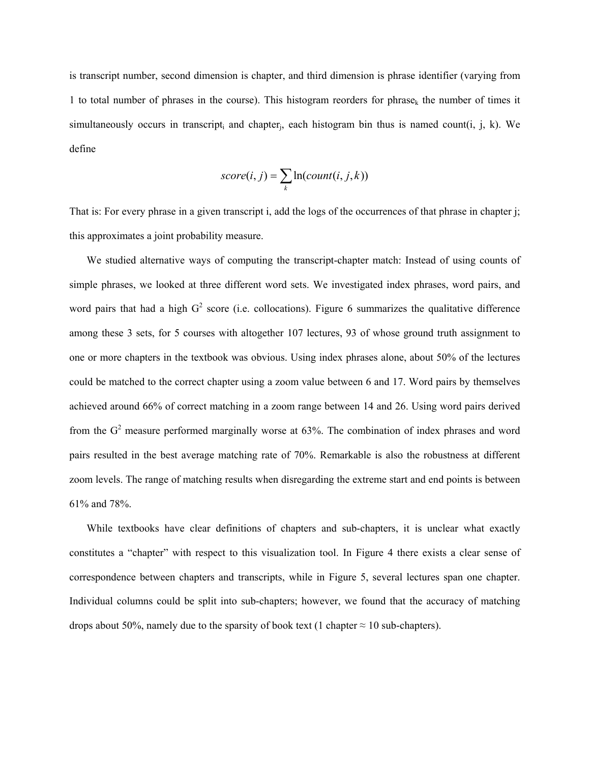is transcript number, second dimension is chapter, and third dimension is phrase identifier (varying from 1 to total number of phrases in the course). This histogram reorders for phrase<sub>k</sub> the number of times it simultaneously occurs in transcript, and chapter, each histogram bin thus is named count(i, j, k). We define

$$
score(i, j) = \sum_{k} ln(count(i, j, k))
$$

That is: For every phrase in a given transcript i, add the logs of the occurrences of that phrase in chapter j; this approximates a joint probability measure.

We studied alternative ways of computing the transcript-chapter match: Instead of using counts of simple phrases, we looked at three different word sets. We investigated index phrases, word pairs, and word pairs that had a high  $G^2$  score (i.e. collocations). Figure 6 summarizes the qualitative difference among these 3 sets, for 5 courses with altogether 107 lectures, 93 of whose ground truth assignment to one or more chapters in the textbook was obvious. Using index phrases alone, about 50% of the lectures could be matched to the correct chapter using a zoom value between 6 and 17. Word pairs by themselves achieved around 66% of correct matching in a zoom range between 14 and 26. Using word pairs derived from the  $G<sup>2</sup>$  measure performed marginally worse at 63%. The combination of index phrases and word pairs resulted in the best average matching rate of 70%. Remarkable is also the robustness at different zoom levels. The range of matching results when disregarding the extreme start and end points is between 61% and 78%.

While textbooks have clear definitions of chapters and sub-chapters, it is unclear what exactly constitutes a "chapter" with respect to this visualization tool. In Figure 4 there exists a clear sense of correspondence between chapters and transcripts, while in Figure 5, several lectures span one chapter. Individual columns could be split into sub-chapters; however, we found that the accuracy of matching drops about 50%, namely due to the sparsity of book text (1 chapter  $\approx$  10 sub-chapters).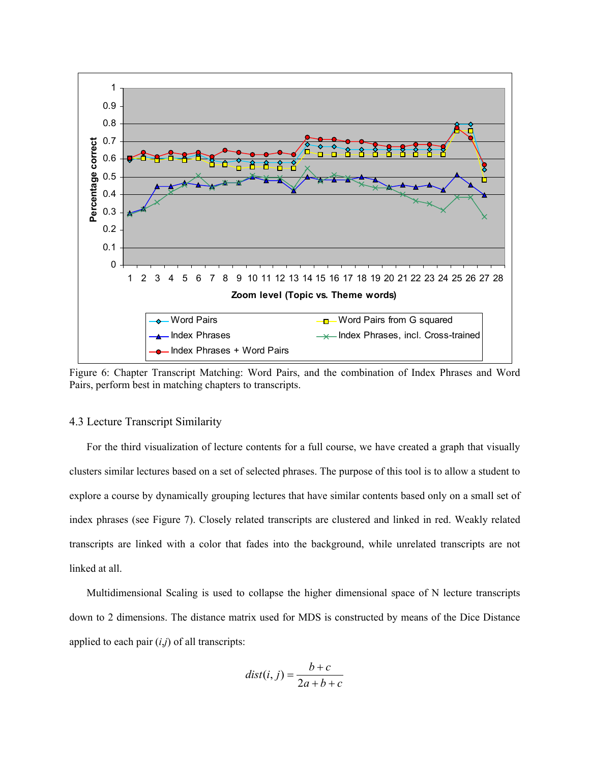

Figure 6: Chapter Transcript Matching: Word Pairs, and the combination of Index Phrases and Word Pairs, perform best in matching chapters to transcripts.

#### 4.3 Lecture Transcript Similarity

For the third visualization of lecture contents for a full course, we have created a graph that visually clusters similar lectures based on a set of selected phrases. The purpose of this tool is to allow a student to explore a course by dynamically grouping lectures that have similar contents based only on a small set of index phrases (see Figure 7). Closely related transcripts are clustered and linked in red. Weakly related transcripts are linked with a color that fades into the background, while unrelated transcripts are not linked at all.

Multidimensional Scaling is used to collapse the higher dimensional space of N lecture transcripts down to 2 dimensions. The distance matrix used for MDS is constructed by means of the Dice Distance applied to each pair (*i*,*j*) of all transcripts:

$$
dist(i, j) = \frac{b+c}{2a+b+c}
$$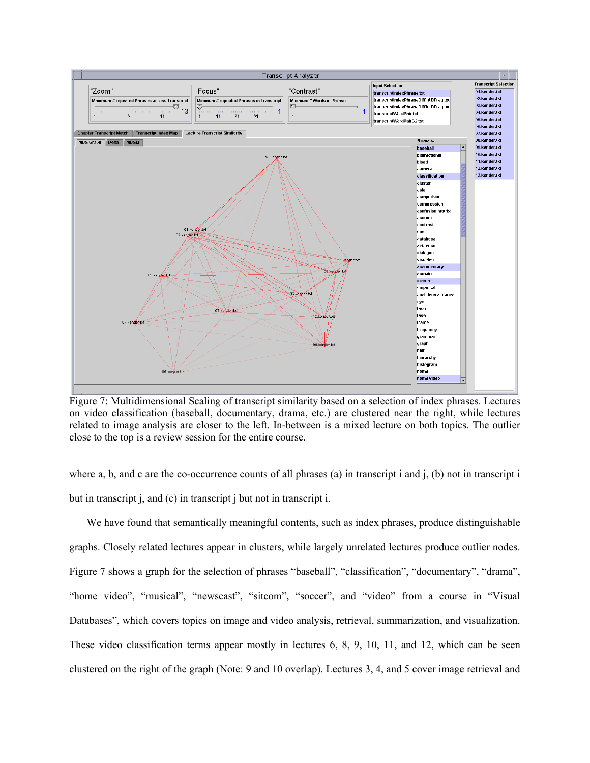

Figure 7: Multidimensional Scaling of transcript similarity based on a selection of index phrases. Lectures on video classification (baseball, documentary, drama, etc.) are clustered near the right, while lectures related to image analysis are closer to the left. In-between is a mixed lecture on both topics. The outlier close to the top is a review session for the entire course.

where a, b, and c are the co-occurrence counts of all phrases (a) in transcript i and  $\mathbf{j}$ , (b) not in transcript i but in transcript j, and (c) in transcript j but not in transcript i.

We have found that semantically meaningful contents, such as index phrases, produce distinguishable graphs. Closely related lectures appear in clusters, while largely unrelated lectures produce outlier nodes. Figure 7 shows a graph for the selection of phrases "baseball", "classification", "documentary", "drama", "home video", "musical", "newscast", "sitcom", "soccer", and "video" from a course in "Visual Databases", which covers topics on image and video analysis, retrieval, summarization, and visualization. These video classification terms appear mostly in lectures 6, 8, 9, 10, 11, and 12, which can be seen clustered on the right of the graph (Note: 9 and 10 overlap). Lectures 3, 4, and 5 cover image retrieval and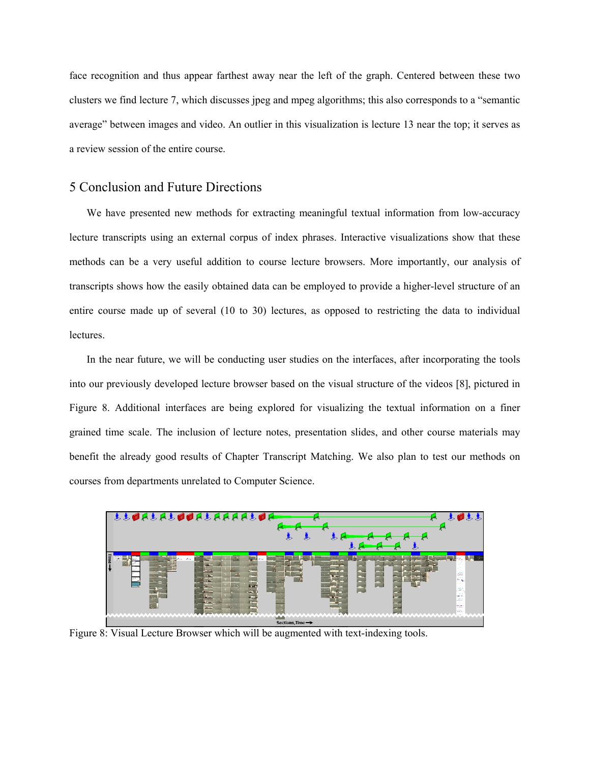face recognition and thus appear farthest away near the left of the graph. Centered between these two clusters we find lecture 7, which discusses jpeg and mpeg algorithms; this also corresponds to a "semantic average" between images and video. An outlier in this visualization is lecture 13 near the top; it serves as a review session of the entire course.

## 5 Conclusion and Future Directions

We have presented new methods for extracting meaningful textual information from low-accuracy lecture transcripts using an external corpus of index phrases. Interactive visualizations show that these methods can be a very useful addition to course lecture browsers. More importantly, our analysis of transcripts shows how the easily obtained data can be employed to provide a higher-level structure of an entire course made up of several (10 to 30) lectures, as opposed to restricting the data to individual lectures.

In the near future, we will be conducting user studies on the interfaces, after incorporating the tools into our previously developed lecture browser based on the visual structure of the videos [8], pictured in Figure 8. Additional interfaces are being explored for visualizing the textual information on a finer grained time scale. The inclusion of lecture notes, presentation slides, and other course materials may benefit the already good results of Chapter Transcript Matching. We also plan to test our methods on courses from departments unrelated to Computer Science.



Figure 8: Visual Lecture Browser which will be augmented with text-indexing tools.